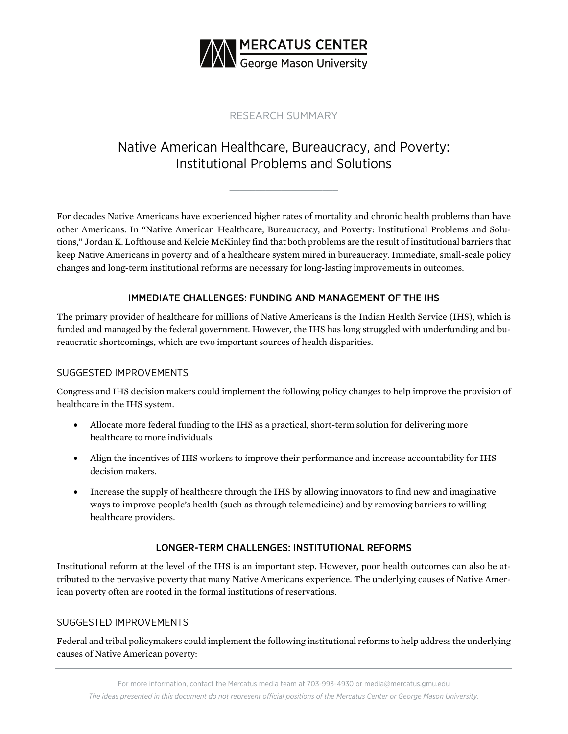

## RESEARCH SUMMARY

# Native American Healthcare, Bureaucracy, and Poverty: Institutional Problems and Solutions

For decades Native Americans have experienced higher rates of mortality and chronic health problems than have other Americans. In "Native American Healthcare, Bureaucracy, and Poverty: Institutional Problems and Solutions," Jordan K. Lofthouse and Kelcie McKinley find that both problems are the result of institutional barriers that keep Native Americans in poverty and of a healthcare system mired in bureaucracy. Immediate, small-scale policy changes and long-term institutional reforms are necessary for long-lasting improvements in outcomes.

### IMMEDIATE CHALLENGES: FUNDING AND MANAGEMENT OF THE IHS

The primary provider of healthcare for millions of Native Americans is the Indian Health Service (IHS), which is funded and managed by the federal government. However, the IHS has long struggled with underfunding and bureaucratic shortcomings, which are two important sources of health disparities.

### SUGGESTED IMPROVEMENTS

Congress and IHS decision makers could implement the following policy changes to help improve the provision of healthcare in the IHS system.

- Allocate more federal funding to the IHS as a practical, short-term solution for delivering more healthcare to more individuals.
- Align the incentives of IHS workers to improve their performance and increase accountability for IHS decision makers.
- Increase the supply of healthcare through the IHS by allowing innovators to find new and imaginative ways to improve people's health (such as through telemedicine) and by removing barriers to willing healthcare providers.

### LONGER-TERM CHALLENGES: INSTITUTIONAL REFORMS

Institutional reform at the level of the IHS is an important step. However, poor health outcomes can also be attributed to the pervasive poverty that many Native Americans experience. The underlying causes of Native American poverty often are rooted in the formal institutions of reservations.

### SUGGESTED IMPROVEMENTS

Federal and tribal policymakers could implement the following institutional reforms to help address the underlying causes of Native American poverty: